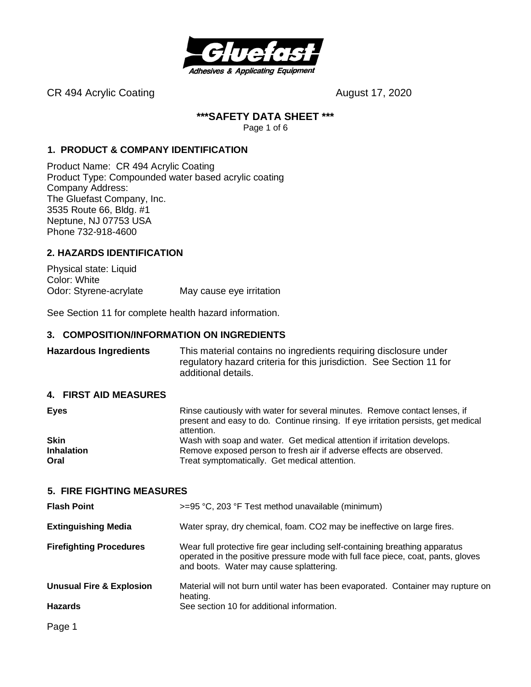

CR 494 Acrylic Coating Carrier Content of the August 17, 2020

#### **\*\*\*SAFETY DATA SHEET \*\*\***

Page 1 of 6

#### **1. PRODUCT & COMPANY IDENTIFICATION**

Product Name: CR 494 Acrylic Coating Product Type: Compounded water based acrylic coating Company Address: The Gluefast Company, Inc. 3535 Route 66, Bldg. #1 Neptune, NJ 07753 USA Phone 732-918-4600

#### **2. HAZARDS IDENTIFICATION**

Physical state: Liquid Color: White Odor: Styrene-acrylate May cause eye irritation

See Section 11 for complete health hazard information.

#### **3. COMPOSITION/INFORMATION ON INGREDIENTS**

**Hazardous Ingredients** This material contains no ingredients requiring disclosure under regulatory hazard criteria for this jurisdiction. See Section 11 for additional details.

#### **4. FIRST AID MEASURES**

| Rinse cautiously with water for several minutes. Remove contact lenses, if<br>present and easy to do. Continue rinsing. If eye irritation persists, get medical<br>attention. |
|-------------------------------------------------------------------------------------------------------------------------------------------------------------------------------|
| Wash with soap and water. Get medical attention if irritation develops.                                                                                                       |
| Remove exposed person to fresh air if adverse effects are observed.                                                                                                           |
| Treat symptomatically. Get medical attention.                                                                                                                                 |
|                                                                                                                                                                               |

#### **5. FIRE FIGHTING MEASURES**

| <b>Flash Point</b>                  | >=95 °C, 203 °F Test method unavailable (minimum)                                                                                                                                                           |
|-------------------------------------|-------------------------------------------------------------------------------------------------------------------------------------------------------------------------------------------------------------|
| <b>Extinguishing Media</b>          | Water spray, dry chemical, foam. CO2 may be ineffective on large fires.                                                                                                                                     |
| <b>Firefighting Procedures</b>      | Wear full protective fire gear including self-containing breathing apparatus<br>operated in the positive pressure mode with full face piece, coat, pants, gloves<br>and boots. Water may cause splattering. |
| <b>Unusual Fire &amp; Explosion</b> | Material will not burn until water has been evaporated. Container may rupture on<br>heating.                                                                                                                |
| <b>Hazards</b>                      | See section 10 for additional information.                                                                                                                                                                  |
| Page 1                              |                                                                                                                                                                                                             |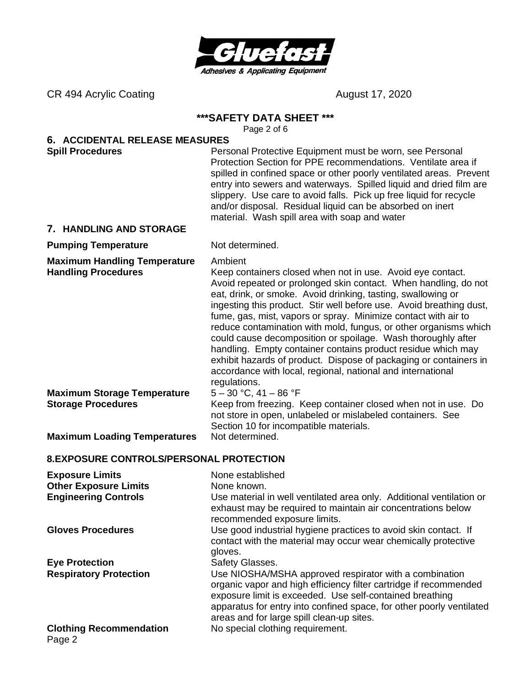

CR 494 Acrylic Coating Carrier Content of the August 17, 2020

#### **\*\*\*SAFETY DATA SHEET \*\*\***

Page 2 of 6

# **6. ACCIDENTAL RELEASE MEASURES**

**Spill Procedures Personal Protective Equipment must be worn, see Personal Protective Equipment must be worn, see Personal** Protection Section for PPE recommendations. Ventilate area if spilled in confined space or other poorly ventilated areas. Prevent entry into sewers and waterways. Spilled liquid and dried film are slippery. Use care to avoid falls. Pick up free liquid for recycle and/or disposal. Residual liquid can be absorbed on inert material. Wash spill area with soap and water

#### **7. HANDLING AND STORAGE**

#### **Pumping Temperature** Not determined.

**Maximum Handling Temperature** Ambient

**Handling Procedures** Keep containers closed when not in use. Avoid eye contact. Avoid repeated or prolonged skin contact. When handling, do not eat, drink, or smoke. Avoid drinking, tasting, swallowing or ingesting this product. Stir well before use. Avoid breathing dust, fume, gas, mist, vapors or spray. Minimize contact with air to reduce contamination with mold, fungus, or other organisms which could cause decomposition or spoilage. Wash thoroughly after handling. Empty container contains product residue which may exhibit hazards of product. Dispose of packaging or containers in accordance with local, regional, national and international regulations.

**Maximum Storage Temperature** 5 – 30 °C, 41 – 86 °F

**Storage Procedures** Keep from freezing. Keep container closed when not in use. Do not store in open, unlabeled or mislabeled containers. See Section 10 for incompatible materials.

**Maximum Loading Temperatures** Not determined.

### **8. EXPOSURE CONTROLS/PERSONAL PROTECTION**

| <b>Exposure Limits</b>                   | None established                                                                                                                                                                                                                                                                                             |
|------------------------------------------|--------------------------------------------------------------------------------------------------------------------------------------------------------------------------------------------------------------------------------------------------------------------------------------------------------------|
| <b>Other Exposure Limits</b>             | None known.                                                                                                                                                                                                                                                                                                  |
| <b>Engineering Controls</b>              | Use material in well ventilated area only. Additional ventilation or<br>exhaust may be required to maintain air concentrations below<br>recommended exposure limits.                                                                                                                                         |
| <b>Gloves Procedures</b>                 | Use good industrial hygiene practices to avoid skin contact. If<br>contact with the material may occur wear chemically protective<br>gloves.                                                                                                                                                                 |
| <b>Eye Protection</b>                    | Safety Glasses.                                                                                                                                                                                                                                                                                              |
| <b>Respiratory Protection</b>            | Use NIOSHA/MSHA approved respirator with a combination<br>organic vapor and high efficiency filter cartridge if recommended<br>exposure limit is exceeded. Use self-contained breathing<br>apparatus for entry into confined space, for other poorly ventilated<br>areas and for large spill clean-up sites. |
| <b>Clothing Recommendation</b><br>Page 2 | No special clothing requirement.                                                                                                                                                                                                                                                                             |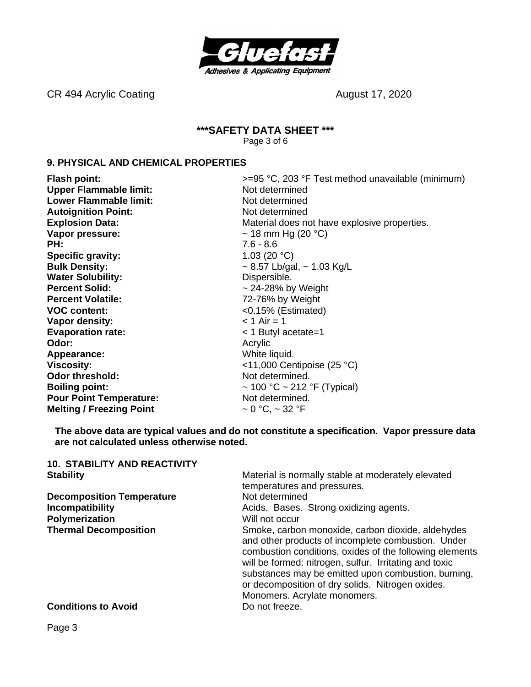

CR 494 Acrylic Coating Carrier Content of the August 17, 2020

#### **\*\*\*SAFETY DATA SHEET \*\*\*** Page 3 of 6

#### **9. PHYSICAL AND CHEMICAL PROPERTIES**

**Flash point:**  $\rightarrow$  5<sup>o</sup>C, 203 °F Test method unavailable (minimum) **Upper Flammable limit:** Not determined **Lower Flammable limit:** Not determined **Autoignition Point:** Not determined **Explosion Data:** The Material does not have explosive properties. **Vapor pressure:**  $\sim$  18 mm Hg (20 °C) **PH:** 7.6 - 8.6 **Specific gravity:** 1.03 (20 °C) **Bulk Density:**  $\sim 8.57$  Lb/gal,  $\sim 1.03$  Kg/L **Water Solubility:** Dispersible. **Percent Solid:**  $\sim$  24-28% by Weight **Percent Volatile:** 72-76% by Weight **VOC content:** <0.15% (Estimated) **Vapor density:**  $\lt 1$  Air = 1 **Evaporation rate:**  $\leq 1$  Butyl acetate=1 **Odor:** Acrylic Acrylic Acrylic Acrylic Acrylic Acrylic Acrylic Acrylic Acrylic Acrylic Acrylic Acrylic Acrylic Acrylic Acrylic Acrylic Acrylic Acrylic Acrylic Acrylic Acrylic Acrylic Acrylic Acrylic Acrylic Acrylic Acryli **Appearance:** White liquid. **Viscosity:**  $\left(25 \text{ °C}\right)$ **Odor threshold:** Not determined. **Boiling point:**  $\sim 100 \, \text{°C} \sim 212 \, \text{°F}$  (Typical) **Pour Point Temperature:** Not determined. **Melting / Freezing Point**  $\sim 0 \degree C$ ,  $\sim 32 \degree F$ 

**The above data are typical values and do not constitute a specification. Vapor pressure data are not calculated unless otherwise noted.**

| <b>10. STABILITY AND REACTIVITY</b> |                                                                                                                                                                                                                                                                                                                                                                         |
|-------------------------------------|-------------------------------------------------------------------------------------------------------------------------------------------------------------------------------------------------------------------------------------------------------------------------------------------------------------------------------------------------------------------------|
| <b>Stability</b>                    | Material is normally stable at moderately elevated                                                                                                                                                                                                                                                                                                                      |
|                                     | temperatures and pressures.                                                                                                                                                                                                                                                                                                                                             |
| <b>Decomposition Temperature</b>    | Not determined                                                                                                                                                                                                                                                                                                                                                          |
| <b>Incompatibility</b>              | Acids. Bases. Strong oxidizing agents.                                                                                                                                                                                                                                                                                                                                  |
| Polymerization                      | Will not occur                                                                                                                                                                                                                                                                                                                                                          |
| <b>Thermal Decomposition</b>        | Smoke, carbon monoxide, carbon dioxide, aldehydes<br>and other products of incomplete combustion. Under<br>combustion conditions, oxides of the following elements<br>will be formed: nitrogen, sulfur. Irritating and toxic<br>substances may be emitted upon combustion, burning,<br>or decomposition of dry solids. Nitrogen oxides.<br>Monomers. Acrylate monomers. |
| <b>Conditions to Avoid</b>          | Do not freeze.                                                                                                                                                                                                                                                                                                                                                          |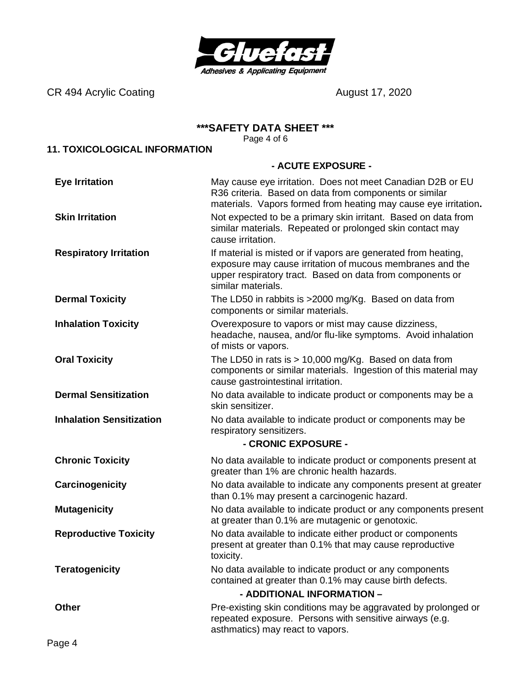

CR 494 Acrylic Coating **CR 494 August 17, 2020** 

#### **\*\*\*SAFETY DATA SHEET \*\*\***

Page 4 of 6

## **11. TOXICOLOGICAL INFORMATION**

#### **- ACUTE EXPOSURE -**

| <b>Eye Irritation</b>           | May cause eye irritation. Does not meet Canadian D2B or EU<br>R36 criteria. Based on data from components or similar<br>materials. Vapors formed from heating may cause eye irritation.                        |  |  |
|---------------------------------|----------------------------------------------------------------------------------------------------------------------------------------------------------------------------------------------------------------|--|--|
| <b>Skin Irritation</b>          | Not expected to be a primary skin irritant. Based on data from<br>similar materials. Repeated or prolonged skin contact may<br>cause irritation.                                                               |  |  |
| <b>Respiratory Irritation</b>   | If material is misted or if vapors are generated from heating,<br>exposure may cause irritation of mucous membranes and the<br>upper respiratory tract. Based on data from components or<br>similar materials. |  |  |
| <b>Dermal Toxicity</b>          | The LD50 in rabbits is >2000 mg/Kg. Based on data from<br>components or similar materials.                                                                                                                     |  |  |
| <b>Inhalation Toxicity</b>      | Overexposure to vapors or mist may cause dizziness,<br>headache, nausea, and/or flu-like symptoms. Avoid inhalation<br>of mists or vapors.                                                                     |  |  |
| <b>Oral Toxicity</b>            | The LD50 in rats is $> 10,000$ mg/Kg. Based on data from<br>components or similar materials. Ingestion of this material may<br>cause gastrointestinal irritation.                                              |  |  |
| <b>Dermal Sensitization</b>     | No data available to indicate product or components may be a<br>skin sensitizer.                                                                                                                               |  |  |
| <b>Inhalation Sensitization</b> | No data available to indicate product or components may be<br>respiratory sensitizers.<br>- CRONIC EXPOSURE -                                                                                                  |  |  |
| <b>Chronic Toxicity</b>         | No data available to indicate product or components present at<br>greater than 1% are chronic health hazards.                                                                                                  |  |  |
| Carcinogenicity                 | No data available to indicate any components present at greater<br>than 0.1% may present a carcinogenic hazard.                                                                                                |  |  |
| <b>Mutagenicity</b>             | No data available to indicate product or any components present<br>at greater than 0.1% are mutagenic or genotoxic.                                                                                            |  |  |
| <b>Reproductive Toxicity</b>    | No data available to indicate either product or components<br>present at greater than 0.1% that may cause reproductive<br>toxicity.                                                                            |  |  |
| <b>Teratogenicity</b>           | No data available to indicate product or any components<br>contained at greater than 0.1% may cause birth defects.                                                                                             |  |  |
|                                 | - ADDITIONAL INFORMATION -                                                                                                                                                                                     |  |  |
| <b>Other</b>                    | Pre-existing skin conditions may be aggravated by prolonged or<br>repeated exposure. Persons with sensitive airways (e.g.<br>asthmatics) may react to vapors.                                                  |  |  |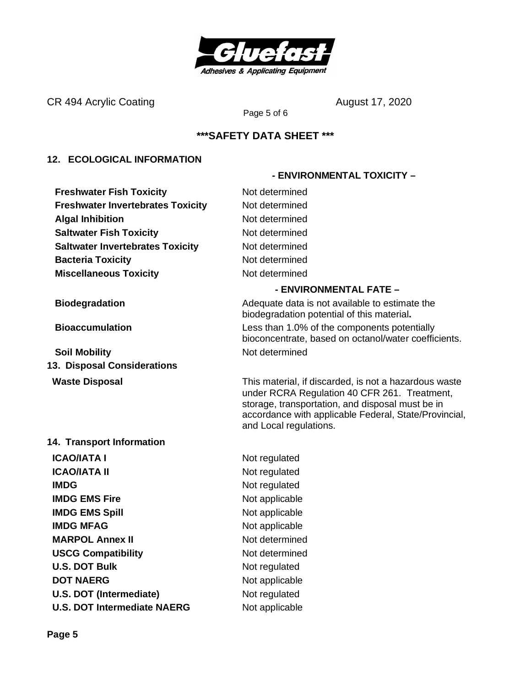

CR 494 Acrylic Coating Cases and August 17, 2020

Page 5 of 6

## **\*\*\*SAFETY DATA SHEET \*\*\***

### **12. ECOLOGICAL INFORMATION**

**Freshwater Fish Toxicity** Not determined **Freshwater Invertebrates Toxicity Mot determined Algal Inhibition** Not determined **Saltwater Fish Toxicity** Not determined **Saltwater Invertebrates Toxicity** Not determined **Bacteria Toxicity Not determined Miscellaneous Toxicity** Not determined

**Soil Mobility Not determined 13. Disposal Considerations**

#### **14. Transport Information**

**ICAO/IATA I** Not regulated **ICAO/IATA II** Not regulated **IMDG** Not regulated **IMDG EMS Fire** Not applicable **IMDG EMS Spill** Not applicable **IMDG MFAG** Not applicable **MARPOL Annex II** Not determined **USCG Compatibility** Not determined **U.S. DOT Bulk** Not regulated **DOT NAERG** Not applicable **U.S. DOT (Intermediate)** Not regulated **U.S. DOT Intermediate NAERG** Not applicable

### **- ENVIRONMENTAL FATE –**

 **- ENVIRONMENTAL TOXICITY –**

**Biodegradation Biodegradation Adequate data is not available to estimate the** biodegradation potential of this material**. Bioaccumulation** Less than 1.0% of the components potentially bioconcentrate, based on octanol/water coefficients.

**Waste Disposal** This material, if discarded, is not a hazardous waste under RCRA Regulation 40 CFR 261. Treatment, storage, transportation, and disposal must be in accordance with applicable Federal, State/Provincial, and Local regulations.